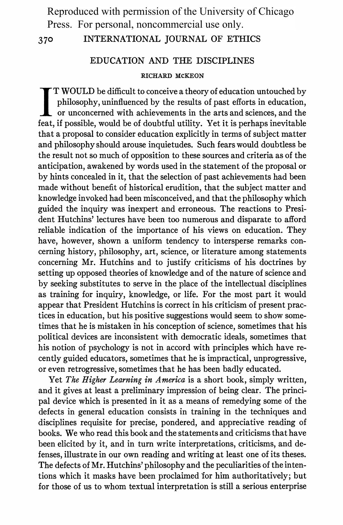# Reproduced with permission of the University of Chicago Press. For personal, noncommercial use only.

**370 INTERNATIONAL JOURNAL OF ETHICS** 

# **EDUCATION AND THE DISCIPLINES**

#### **RICHARD MCKEON**

**T WOULD** be difficult to conceive a theory of education untouched by **philosophy, uninfluenced by the results of past efforts in education, or unconcerned with achievements in the arts and sciences, and the feat, if possible, would be of doubtful utility. Yet it is perhaps inevitable that a proposal to consider education explicitly in terms of subject matter and philosophy should arouse inquietudes. Such fears would doubtless be the result not so much of opposition to these sources and criteria as of the anticipation, awakened by words used in the statement of the proposal or by hints concealed in it, that the selection of past achievements had been made without benefit of historical erudition, that the subject matter and knowledge invoked had been misconceived, and that the philosophy which guided the inquiry was inexpert and erroneous. The reactions to President Hutchins' lectures have been too numerous and disparate to afford reliable indication of the importance of his views on education. They have, however, shown a uniform tendency to intersperse remarks concerning history, philosophy, art, science, or literature among statements concerning Mr. Hutchins and to justify criticisms of his doctrines by setting up opposed theories of knowledge and of the nature of science and by seeking substitutes to serve in the place of the intellectual disciplines as training for inquiry, knowledge, or life. For the most part it would appear that President Hutchins is correct in his criticism of present practices in education, but his positive suggestions would seem to show sometimes that he is mistaken in his conception of science, sometimes that his political devices are inconsistent with democratic ideals, sometimes that his notion of psychology is not in accord with principles which have recently guided educators, sometimes that he is impractical, unprogressive, or even retrogressive, sometimes that he has been badly educated.** 

**Yet The Higher Learning in America is a short book, simply written, and it gives at least a preliminary impression of being clear. The principal device which is presented in it as a means of remedying some of the defects in general education consists in training in the techniques and disciplines requisite for precise, pondered, and appreciative reading of books. We who read this book and the statements and criticisms that have been elicited by it, and in turn write interpretations, criticisms, and defenses, illustrate in our own reading and writing at least one of its theses. The defects of Mr. Hutchins' philosophy and the peculiarities of the intentions which it masks have been proclaimed for him authoritatively; but for those of us to whom textual interpretation is still a serious enterprise**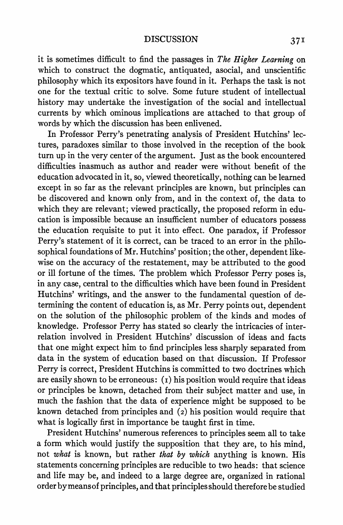## **DISCUSSION 37I**

**it is sometimes difficult to find the passages in The Higher Learning on which to construct the dogmatic, antiquated, asocial, and unscientific philosophy which its expositors have found in it. Perhaps the task is not one for the textual critic to solve. Some future student of intellectual history may undertake the investigation of the social and intellectual currents by which ominous implications are attached to that group of words by which the discussion has been enlivened.** 

**In Professor Perry's penetrating analysis of President Hutchins' lectures, paradoxes similar to those involved in the reception of the book turn up in the very center of the argument. Just as the book encountered difficulties inasmuch as author and reader were without benefit of the education advocated in it, so, viewed theoretically, nothing can be learned except in so far as the relevant principles are known, but principles can be discovered and known only from, and in the context of, the data to which they are relevant; viewed practically, the proposed reform in education is impossible because an insufficient number of educators possess the education requisite to put it into effect. One paradox, if Professor Perry's statement of it is correct, can be traced to an error in the philosophical foundations of Mr. Hutchins' position; the other, dependent likewise on the accuracy of the restatement, may be attributed to the good or ill fortune of the times. The problem which Professor Perry poses is, in any case, central to the difficulties which have been found in President Hutchins' writings, and the answer to the fundamental question of determining the content of education is, as Mr. Perry points out, dependent on the solution of the philosophic problem of the kinds and modes of knowledge. Professor Perry has stated so clearly the intricacies of interrelation involved in President Hutchins' discussion of ideas and facts that one might expect him to find principles less sharply separated from data in the system of education based on that discussion. If Professor Perry is correct, President Hutchins is committed to two doctrines which are easily shown to be erroneous: (i) his position would require that ideas or principles be known, detached from their subject matter and use, in much the fashion that the data of experience might be supposed to be known detached from principles and (2) his position would require that what is logically first in importance be taught first in time.** 

**President Hutchins' numerous references to principles seem all to take a form which would justify the supposition that they are, to his mind, not what is known, but rather that by which anything is known. His statements concerning principles are reducible to two heads: that science and life may be, and indeed to a large degree are, organized in rational order bymeansof principles, and that principles should therefore be studied**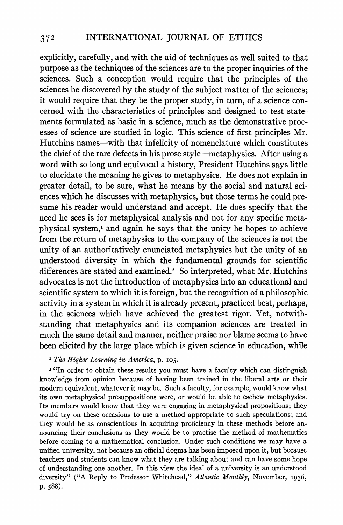**explicitly, carefully, and with the aid of techniques as well suited to that purpose as the techniques of the sciences are to the proper inquiries of the sciences. Such a conception would require that the principles of the sciences be discovered by the study of the subject matter of the sciences; it would require that they be the proper study, in turn, of a science concerned with the characteristics of principles and designed to test statements formulated as basic in a science, much as the demonstrative processes of science are studied in logic. This science of first principles Mr. Hutchins names-with that infelicity of nomenclature which constitutes the chief of the rare defects in his prose style-metaphysics. After using a word with so long and equivocal a history, President Hutchins says little to elucidate the meaning he gives to metaphysics. He does not explain in greater detail, to be sure, what he means by the social and natural sciences which he discusses with metaphysics, but those terms he could presume his reader would understand and accept. He does specify that the need he sees is for metaphysical analysis and not for any specific metaphysical system,' and again he says that the unity he hopes to achieve from the return of metaphysics to the company of the sciences is not the unity of an authoritatively enunciated metaphysics but the unity of an understood diversity in which the fundamental grounds for scientific differences are stated and examined.2 So interpreted, what Mr. Hutchins advocates is not the introduction of metaphysics into an educational and scientific system to which it is foreign, but the recognition of a philosophic activity in a system in which it is already present, practiced best, perhaps, in the sciences which have achieved the greatest rigor. Yet, notwithstanding that metaphysics and its companion sciences are treated in much the same detail and manner, neither praise nor blame seems to have been elicited by the large place which is given science in education, while** 

### **I The Higher Learning in America, p. I05.**

**<sup>2</sup>"In order to obtain these results you must have a faculty which can distinguish knowledge from opinion because of having been trained in the liberal arts or their modern equivalent, whatever it may be. Such a faculty, for example, would know what its own metaphysical presuppositions were, or would be able to eschew metaphysics. Its members would know that they were engaging in metaphysical propositions; they would try on these occasions to use a method appropriate to such speculations; and they would be as conscientious in acquiring proficiency in these methods before announcing their conclusions as they would be to practise the method of mathematics before coming to a mathematical conclusion. Under such conditions we may have a unified university, not because an official dogma has been imposed upon it, but because teachers and students can know what they are talking about and can have some hope of understanding one another. In this view the ideal of a university is an understood diversity" ("A Reply to Professor Whitehead," Atlantic Monthly, November, 1936, p. 588).**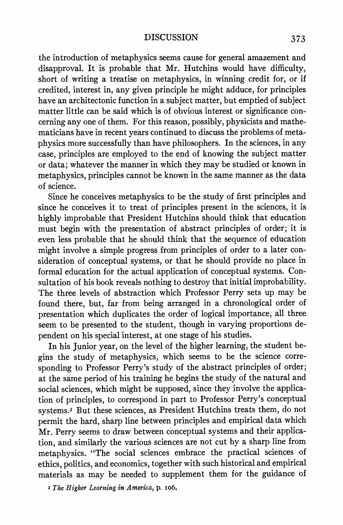**the introduction of metaphysics seems cause for general amazement and disapproval. It is probable that Mr. Hutchins would have difficulty,**  short of writing a treatise on metaphysics, in winning credit for, or if **credited, interest in, any given principle he might adduce, for principles have an architectonic function in a subject matter, but emptied of subject matter little can be said which is of obvious interest or significance concerning any one of them. For this reason, possibly, physicists and mathematicians have in recent years continued to discuss the problems of metaphysics more successfully than have philosophers. In the sciences, in any case, principles are employed to the end of knowing the subject matter or data; whatever the manner in which they may be studied or known in metaphysics, principles cannot be known in the same manner as the data of science.** 

**Since he conceives metaphysics to be the study of first principles and since he conceives it to treat of principles present in the sciences, it is highly improbable that President Hutchins should think that education must begin with the presentation of abstract principles of order; it is even less probable that he should think that the sequence of education might involve a simple progress from principles of order to a later consideration of conceptual systems, or that he should provide no place in formal education for the actual application of conceptual systems. Consultation of his book reveals nothing to destroy that initial improbability. The three levels of abstraction which Professor Perry sets up may be found there, but, far from being arranged in a chronological order of presentation which duplicates the order of logical importance, all three seem to be presented to the student, though in varying proportions dependent on his special interest, at one stage of his studies.** 

**In his Junior year, on the level of the higher learning, the student begins the study of metaphysics, which seems to be the science corresponding to Professor Perry's study of the abstract principles of order; at the same period of his training he begins the study of the natural and social sciences, which might be supposed, since they involve the application of principles, to correspond in part to Professor Perry's conceptual systems.3 But these sciences, as President Hutchins treats them, do not permit the hard, sharp line between principles and empirical data which Mr. Perry seems to draw between conceptual systems and their application, and similarly the various sciences are not cut by a sharp line from metaphysics. "The social sciences embrace the practical sciences of ethics, politics, and economics, together with such historical and empirical materials as may be needed to supplement them for the guidance of** 

**3 The Higher Learning in America, p. io6.**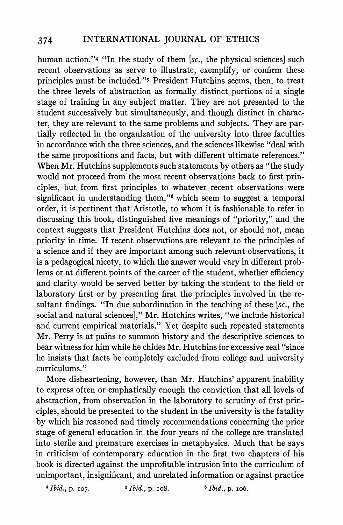**human action."4 "In the study of them [sc., the physical sciences] such recent observations as serve to illustrate, exemplify, or confirm these principles must be included."s President Hutchins seems, then, to treat the three levels of abstraction as formally distinct portions of a single stage of training in any subject matter. They are not presented to the student successively but simultaneously, and though distinct in character, they are relevant to the same problems and subjects. They are partially reflected in the organization of the university into three faculties in accordance with the three sciences, and the sciences likewise "deal with the same propositions and facts, but with different ultimate references." When Mr. Hutchins supplements such statements by others as "the study would not proceed from the most recent observations back to first principles, but from first principles to whatever recent observations were significant in understanding them,"6 which seem to suggest a temporal order, it is pertinent that Aristotle, to whom it is fashionable to refer in discussing this book, distinguished five meanings of "priority," and the context suggests that President Hutchins does not, or should not, mean priority in time. If recent observations are relevant to the principles of a science and if they are important among such relevant observations, it is a pedagogical nicety, to which the answer would vary in different problems or at different points of the career of the student, whether efficiency and clarity would be served better by taking the student to the field or laboratory first or by presenting first the principles involved in the resultant findings. "In due subordination in the teaching of these [sc., the social and natural sciences]," Mr. Hutchins writes, "we include historical and current empirical materials." Yet despite such repeated statements Mr. Perry is at pains to summon history and the descriptive sciences to bear witness for him while he chides Mr. Hutchins for excessive zeal "since he insists that facts be completely excluded from college and university curriculums."** 

**More disheartening, however, than Mr. Hutchins' apparent inability to express often or emphatically enough the conviction that all levels of abstraction, from observation in the laboratory to scrutiny of first principles, should be presented to the student in the university is the fatality by which his reasoned and timely recommendations concerning the prior stage of general education in the four years of the college are translated into sterile and premature exercises in metaphysics. Much that he says in criticism of contemporary education in the first two chapters of his book is directed against the unprofitable intrusion into the curriculum of unimportant, insignificant, and unrelated information or against practice** 

**<sup>I</sup>Ibid., p. 107. <sup>S</sup>Ibid., p. io8. 6 Ibid., p. io6.**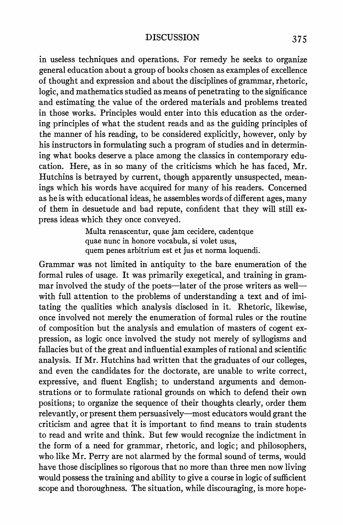**in useless techniques and operations. For remedy he seeks to organize general education about a group of books chosen as examples of excellence of thought and expression and about the disciplines of grammar, rhetoric, logic, and mathematics studied as means of penetrating to the significance and estimating. the value of the ordered materials and problems treated in those works. Principles would enter into this education as the ordering principles of what the student reads and as the guiding principles of the manner of his reading, to be considered explicitly, however, only by his instructors in formulating such a program of studies and in deternining what books deserve a place among the classics in contemporary education. Here, as in so many of the criticisms which he has faced, Mr. Hutchins is betrayed by current, though apparently unsuspected, meanings which his words have acquired for many of his readers. Concerned as he is with educational ideas, he assembles words of different ages, many of them in desuetude and bad repute, confident that they will still express ideas which they once conveyed.** 

> **Multa renascentur, quae jam cecidere, cadentque quae nunc in honore vocabula, si volet usus, quem penes arbitrium est et jus et norma loquendi.**

**Grammar was not limited in antiquity to the bare enumeration of the formal rules of usage. It was primarily exegetical, and training in gram**mar involved the study of the poets—later of the prose writers as well **with full attention to the problems of understanding a text and of imitating the qualities which analysis disclosed in it. Rhetoric, likewise, once involved not merely the enumeration of formal rules or the routine of composition but the analysis and emulation of masters of cogent expression, as logic once involved the study not merely of syllogisms and fallacies but of the great and influential examples of rational and scientific analysis. If Mr. Hutchins had written that the graduates of our colleges, and even the candidates for the doctorate, are unable to write correct, expressive, and fluent English; to understand arguments and demonstrations or to formulate rational grounds on which to defend their own positions; to organize the sequence of their thoughts clearly, order them relevantly, or present them persuasively-most educators would grant the criticism and agree that it is important to find means to train students to read and write and think. But few would recognize the indictment in the form of a need for grammar, rhetoric, and logic; and philosophers, who like Mr. Perry are not alarmed by the formal sound of terms, would have those disciplines so rigorous that no more than three men now living would possess the training and ability to give a course in logic of sufficient**  scope and thoroughness. The situation, while discouraging, is more hope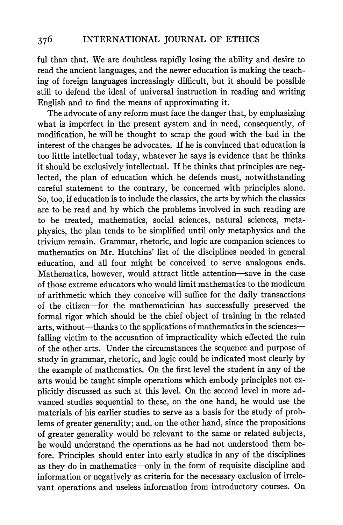**ful than that. We are doubtless rapidly losing the ability and desire to read the ancient languages, and the newer education is making the teaching of foreign languages increasingly difficult, but it should be possible still to defend the ideal of universal instruction in reading and writing English and to find the means of approximating it.** 

**The advocate of any reform must face the danger that, by emphasizing what is imperfect in the present system and in need, consequently, of modification, he will be thought to scrap the good with the bad in the interest of the changes he advocates. If he is convinced that education is too little intellectual today, whatever he says is evidence that he thinks it should be exclusively intellectual. If he thinks that principles are neglected, the plan of education which he defends must, notwithstanding careful statement to the contrary, be concerned with principles alone. So, too, if education is to include the classics, the arts by which the classics are to be read and by which the problems involved in such reading are to be treated, mathematics, social sciences, natural sciences, metaphysics, the plan tends to be simplified until only metaphysics and the trivium remain. Grammar, rhetoric, and logic are companion sciences to mathematics on Mr. Hutchins' list of the disciplines needed in general education, and all four might be conceived to serve analogous ends. Mathematics, however, would attract little attention-save in the case of those extreme educators who would limit mathematics to the modicum of arithmetic which they conceive will suffice for the daily transactions of the citizen-for the mathematician has successfully preserved the formal rigor which should be the chief object of training in the related arts, without-thanks to the applications of mathematics in the sciencesfalling victim to the accusation of impracticality which effected the ruin of the other arts. Under the circumstances the sequence and purpose of study in grammar, rhetoric, and logic could be indicated most clearly by the example of mathematics. On the first level the student in any of the arts would be taught simple operations which embody principles not explicitly discussed as such at this level. On the second level in more advanced studies sequential to these, on the one hand, he would use the materials of his earlier studies to serve as a basis for the study of problems of greater generality; and, on the other hand, since the propositions of greater generality would be relevant to the same or related subjects, he would understand the operations as he had not understood them before. Principles should enter into early studies in any of the disciplines as they do in mathematics-only in the form of requisite discipline and information or negatively as criteria for the necessary exclusion of irrelevant operations and useless information from introductory courses. On**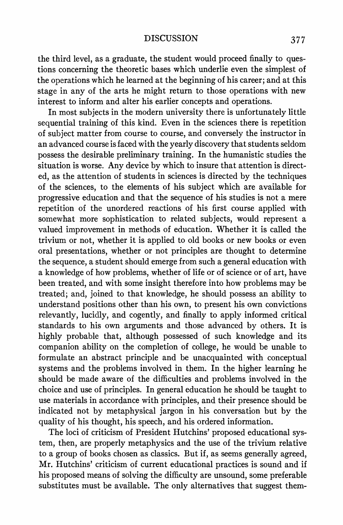**the third level, as a graduate, the student would proceed finally to questions concerning the theoretic bases which underlie even the simplest of the operations which he learned at the beginning of his career; and at this stage in any of the arts he might return to those operations with new interest to inform and alter his earlier concepts and operations.** 

**In most subjects in the modern university there is unfortunately little sequential training of this kind. Even in the sciences there is repetition of subject matter from course to course, and conversely the instructor in an advanced course is faced with the yearly discovery that students seldom possess the desirable preliminary training. In the humanistic studies the**  situation is worse. Any device by which to insure that attention is direct**ed, as the attention of students in sciences is directed by the techniques of the sciences, to the elements of his subject which are available for progressive education and that the sequence of his studies is not a mere repetition of the unordered reactions of his first course applied with somewhat more sophistication to related subjects, would represent a valued improvement in methods of education. Whether it is called the trivium or not, whether it is applied to old books or new books or even oral presentations, whether or not principles are thought to determine the sequence, a student should emerge from such a general education with a knowledge of how problems, whether of life or of science or of art, have been treated, and with some insight therefore into how problems may be treated; and, joined to that knowledge, he should possess an ability to understand positions other than his own, to present his own convictions relevantly, lucidly, and cogently, and finally to apply informed critical standards to his own arguments and those advanced by others. It is highly probable that, although possessed of such knowledge and its companion ability on the completion of college, he would be unable to formulate an abstract principle and be unacquainted with conceptual systems and the problems involved in them. In the higher learning he should be made aware of the difficulties and problems involved in the choice and use of principles. In general education he should be taught to use materials in accordance with principles, and their presence should be indicated not by metaphysical jargon in his conversation but by the quality of his thought, his speech, and his ordered information.** 

**The loci of criticism of President Hutchins' proposed educational system, then, are properly metaphysics and the use of the trivium relative to a group of books chosen as classics. But if, as seems generally agreed, Mr. Hutchins' criticism of current educational practices is sound and if his proposed means of solving the difficulty are unsound, some preferable substitutes must be available. The only alternatives that suggest them-**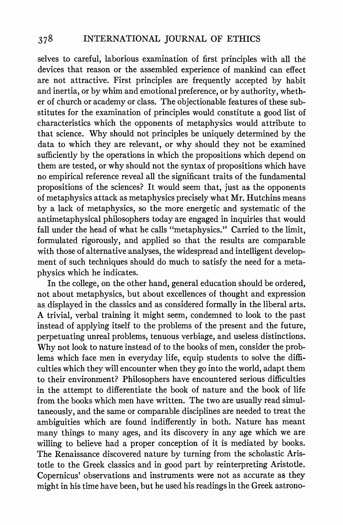**selves to careful, laborious examination of first principles with all the devices that reason or the assembled experience of mankind can effect are not attractive. First principles are frequently accepted by habit and inertia, or by whim and emotional preference, or by authority, whether of church or academy or class. The objectionable features of these substitutes for the examination of principles would constitute a good list of characteristics which the opponents of metaphysics would attribute to that science. Why should not principles be uniquely determined by the data to which they are relevant, or why should they not be examined sufficiently by the operations in which the propositions which depend on them are tested, or why should not the syntax of propositions which have no empirical reference reveal all the significant traits of the fundamental propositions of the sciences? It would seem that, just as the opponents of metaphysics attack as metaphysics precisely what Mr. Hutchins means by a lack of metaphysics, so the more energetic and systematic of the antimetaphysical philosophers today are engaged in inquiries that would fall under the head of what he calls "metaphysics." Carried to the limit, formulated rigorously, and applied so that the results are comparable with those of alternative analyses, the widespread and intelligent development of such techniques should do much to satisfy the need for a metaphysics which he indicates.** 

**In the college, on the other hand, general education should be ordered, not about metaphysics, but about excellences of thought and expression as displayed in the classics and as considered formally in the liberal arts. A trivial, verbal training it might seem, condemned to look to the past instead of applying itself to the problems of the present and the future, perpetuating unreal problems, tenuous verbiage, and useless distinctions. Why not look to nature instead of to the books of men, consider the problems which face men in everyday life, equip students to solve the difficulties which they will encounter when they go into the world, adapt them to their environment? Philosophers have encountered serious difficulties in the attempt to differentiate the book of nature and the book of life from the books which men have written. The two are usually read simultaneously, and the same or comparable disciplines are needed to treat the ambiguities which are found indifferently in both. Nature has meant many things to many ages, and its discovery in any age which we are willing to believe had a proper conception of it is mediated by books. The Renaissance discovered nature by turning from the scholastic Aristotle to the Greek classics and in good part by reinterpreting Aristotle. Copernicus' observations and instruments were not as accurate as they might in his time have been, but he used his readings in the Greek astrono-**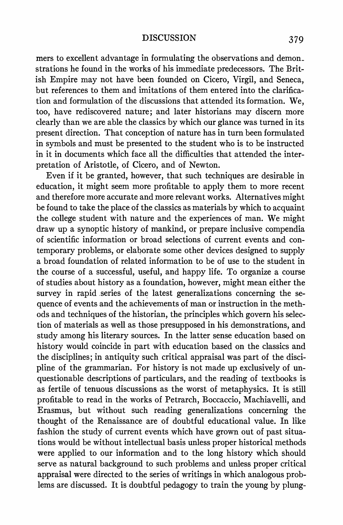**mers to excellent advantage in formulating the observations and demonstrations he found in the works of his immediate predecessors. The British Empire may not have been founded on Cicero, Virgil, and Seneca, but references to them and imitations of them entered into the clarification and formulation of the discussions that attended its formation. We, too, have rediscovered nature; and later historians may discern more clearly than we are able the classics by which our glance was turned in its present direction. That conception of nature has in turn been formulated in symbols and must be presented to the student who is to be instructed in it in documents which face all the difficulties that attended the interpretation of Aristotle, of Cicero, and of Newton.** 

**Even if it be granted, however, that such techniques are desirable in education, it might seem more profitable to apply them to more recent and therefore more accurate and more relevant works. Alternatives might be found to take the place of the classics as materials by which to acquaint the college student with nature and the experiences of man. We might draw up a synoptic history of mankind, or prepare inclusive compendia of scientific information or broad selections of current events and contemporary problems, or elaborate some other devices designed to supply a broad foundation of related information to be of use to the student in the course of a successful, useful, and happy life. To organize a course of studies about history as a foundation, however, might mean either the survey in rapid series of the latest generalizations concerning the sequence of events and the achievements of man or instruction in the methods and techniques of the historian, the principles which govern his selection of materials as well as those presupposed in his demonstrations, and study among his literary sources. In the latter sense education based on history would coincide in part with education based on the classics and the disciplines; in antiquity such critical appraisal was part of the discipline of the grammarian. For history is not made up exclusively of unquestionable descriptions of particulars, and the reading of textbooks is as fertile of tenuous discussions as the worst of metaphysics. It is still profitable to read in the works of Petrarch, Boccaccio, Machiavelli, and Erasmus, but without such reading generalizations concerning the thought of the Renaissance are of doubtful educational value. In like fashion the study of current events which have grown out of past situations would be without intellectual basis unless proper historical methods were applied to our information and to the long history which should serve as natural background to such problems and unless proper critical appraisal were directed to the series of writings in which analogous prob**lems are discussed. It is doubtful pedagogy to train the young by plung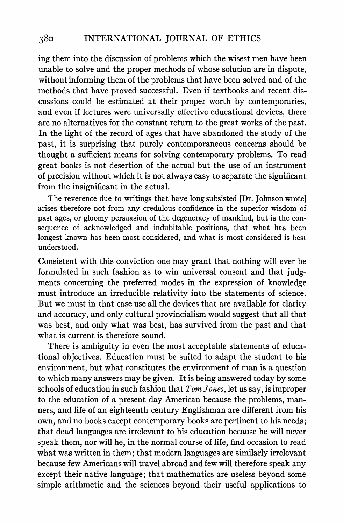**ing them into the discussion of problems which the wisest men have been unable to solve and the proper methods of whose solution are in dispute, without informing them of the problems that have been solved and of the methods that have proved successful. Even if textbooks and recent discussions could be estimated at their proper worth by contemporaries, and even if lectures were universally effective educational devices, there are no alternatives for the constant return to the great works of the past. In the light of the record of ages that have abandoned the study of the past, it is surprising that purely contemporaneous concerns should be thought a sufficient means for solving contemporary problems. To read great books is not desertion of the actual but the use of an instrument of precision without which it is not always easy to separate the significant from the insignificant in the actual.** 

**The reverence due to writings that have long subsisted [Dr. Johnson wrote] arises therefore not from any credulous confidence in the superior wisdom of past ages, or gloomy persuasion of the degeneracy of mankind, but is the consequence of acknowledged and indubitable positions, that what has been longest known has been most considered, and what is most considered is best understood.** 

**Consistent with this conviction one may grant that nothing will ever be formulated in such fashion as to win universal consent and that judgments concerning the preferred modes in the expression of knowledge must introduce an irreducible relativity into the statements of science. But we must in that case use all the devices that are available for clarity and accuracy, and only cultural provincialism would suggest that all that was best, and only what was best, has survived from the past and that what is current is therefore sound.** 

**There is ambiguity in even the most acceptable statements of educational objectives. Education must be suited to adapt the student to his environment, but what constitutes the environment of man is a question to which many answers may be given. It is being answered today by some schools of education in such fashion that Tom Jones, let us say, is improper to the education of a present day American because the problems, manners, and life of an eighteenth-century Englishman are different from his own, and no books except contemporary books are pertinent to his needs; that dead languages are irrelevant to his education because he will never speak them, nor will he, in the normal course of life, find occasion to read what was written in them; that modern languages are similarly irrelevant because few Americans will travel abroad and few will therefore speak any except their native language; that mathematics are useless beyond some simple arithmetic and the sciences beyond their useful applications to**